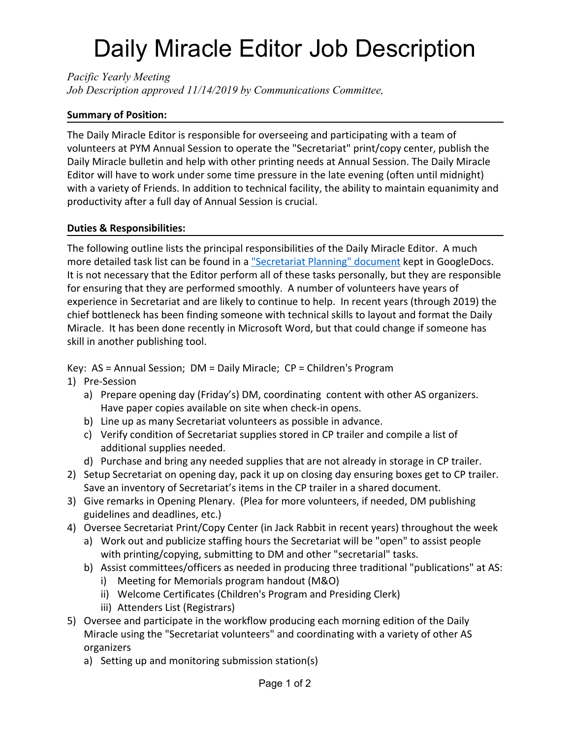## Daily Miracle Editor Job Description

*Pacific Yearly Meeting Job Description approved 11/14/2019 by Communications Committee,*

## **Summary of Position:**

The Daily Miracle Editor is responsible for overseeing and participating with a team of volunteers at PYM Annual Session to operate the "Secretariat" print/copy center, publish the Daily Miracle bulletin and help with other printing needs at Annual Session. The Daily Miracle Editor will have to work under some time pressure in the late evening (often until midnight) with a variety of Friends. In addition to technical facility, the ability to maintain equanimity and productivity after a full day of Annual Session is crucial.

## **Duties & Responsibilities:**

The following outline lists the principal responsibilities of the Daily Miracle Editor. A much more detailed task list can be found in a ["Secretariat Planning" document](https://docs.google.com/document/d/1a0weI60coPXXn7QuJrfQtMDdm4G3a-_NgXxzzf6ZPW4/edit?usp=sharing) kept in GoogleDocs. It is not necessary that the Editor perform all of these tasks personally, but they are responsible for ensuring that they are performed smoothly. A number of volunteers have years of experience in Secretariat and are likely to continue to help. In recent years (through 2019) the chief bottleneck has been finding someone with technical skills to layout and format the Daily Miracle. It has been done recently in Microsoft Word, but that could change if someone has skill in another publishing tool.

Key: AS = Annual Session; DM = Daily Miracle; CP = Children's Program

- 1) Pre-Session
	- a) Prepare opening day (Friday's) DM, coordinating content with other AS organizers. Have paper copies available on site when check-in opens.
	- b) Line up as many Secretariat volunteers as possible in advance.
	- c) Verify condition of Secretariat supplies stored in CP trailer and compile a list of additional supplies needed.
	- d) Purchase and bring any needed supplies that are not already in storage in CP trailer.
- 2) Setup Secretariat on opening day, pack it up on closing day ensuring boxes get to CP trailer. Save an inventory of Secretariat's items in the CP trailer in a shared document.
- 3) Give remarks in Opening Plenary. (Plea for more volunteers, if needed, DM publishing guidelines and deadlines, etc.)
- 4) Oversee Secretariat Print/Copy Center (in Jack Rabbit in recent years) throughout the week
	- a) Work out and publicize staffing hours the Secretariat will be "open" to assist people with printing/copying, submitting to DM and other "secretarial" tasks.
	- b) Assist committees/officers as needed in producing three traditional "publications" at AS:
		- i) Meeting for Memorials program handout (M&O)
		- ii) Welcome Certificates (Children's Program and Presiding Clerk)
		- iii) Attenders List (Registrars)
- 5) Oversee and participate in the workflow producing each morning edition of the Daily Miracle using the "Secretariat volunteers" and coordinating with a variety of other AS organizers
	- a) Setting up and monitoring submission station(s)